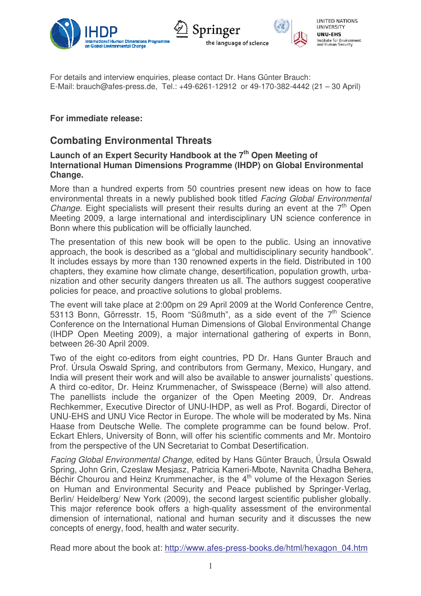



**UNITED NATIONS UNIVERSITY** UNU-EHS Institute for Environment<br>and Human Security

For details and interview enquiries, please contact Dr. Hans Günter Brauch: E-Mail: brauch@afes-press.de, Tel.: +49-6261-12912 or 49-170-382-4442 (21 – 30 April)

## **For immediate release:**

# **Combating Environmental Threats**

## **Launch of an Expert Security Handbook at the 7 th Open Meeting of International Human Dimensions Programme (IHDP) on Global Environmental Change.**

More than a hundred experts from 50 countries present new ideas on how to face environmental threats in a newly published book titled *Facing Global Environmental Change*. Eight specialists will present their results during an event at the 7<sup>th</sup> Open Meeting 2009, a large international and interdisciplinary UN science conference in Bonn where this publication will be officially launched.

The presentation of this new book will be open to the public. Using an innovative approach, the book is described as a "global and multidisciplinary security handbook"*.* It includes essays by more than 130 renowned experts in the field. Distributed in 100 chapters, they examine how climate change, desertification, population growth, urbanization and other security dangers threaten us all. The authors suggest cooperative policies for peace, and proactive solutions to global problems.

The event will take place at 2:00pm on 29 April 2009 at the World Conference Centre, 53113 Bonn, Görresstr. 15, Room "Süßmuth", as a side event of the  $7<sup>th</sup>$  Science Conference on the International Human Dimensions of Global Environmental Change (IHDP Open Meeting 2009), a major international gathering of experts in Bonn, between 26-30 April 2009.

Two of the eight co-editors from eight countries, PD Dr. Hans Gunter Brauch and Prof. Úrsula Oswald Spring, and contributors from Germany, Mexico, Hungary, and India will present their work and will also be available to answer journalists' questions. A third co-editor, Dr. Heinz Krummenacher, of Swisspeace (Berne) will also attend. The panellists include the organizer of the Open Meeting 2009, Dr. Andreas Rechkemmer, Executive Director of UNU-IHDP, as well as Prof. Bogardi, Director of UNU-EHS and UNU Vice Rector in Europe. The whole will be moderated by Ms. Nina Haase from Deutsche Welle. The complete programme can be found below. Prof. Eckart Ehlers, University of Bonn, will offer his scientific comments and Mr. Montoiro from the perspective of the UN Secretariat to Combat Desertification.

*Facing Global Environmental Change*, edited by Hans Günter Brauch, Úrsula Oswald Spring, John Grin, Czeslaw Mesjasz, Patricia Kameri-Mbote, Navnita Chadha Behera, Béchir Chourou and Heinz Krummenacher, is the 4<sup>th</sup> volume of the Hexagon Series on Human and Environmental Security and Peace published by Springer-Verlag, Berlin/ Heidelberg/ New York (2009), the second largest scientific publisher globally. This major reference book offers a high-quality assessment of the environmental dimension of international, national and human security and it discusses the new concepts of energy, food, health and water security.

Read more about the book at: http://www.afes-press-books.de/html/hexagon\_04.htm